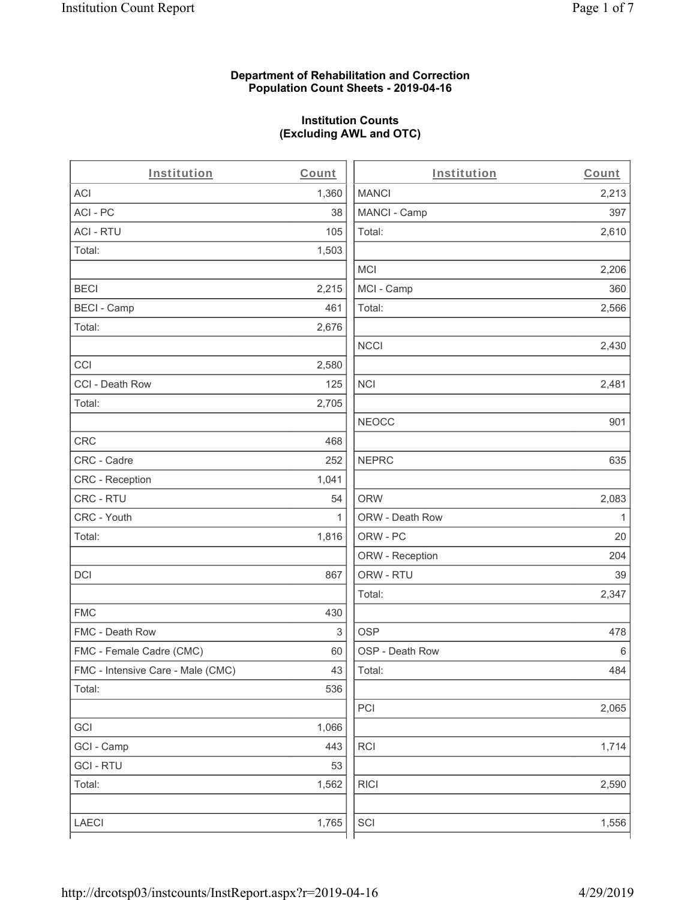### **Department of Rehabilitation and Correction Population Count Sheets - 2019-04-16**

# **Institution Counts (Excluding AWL and OTC)**

| Institution                       | Count | Institution     | Count        |
|-----------------------------------|-------|-----------------|--------------|
| ACI                               | 1,360 | <b>MANCI</b>    | 2,213        |
| ACI - PC                          | 38    | MANCI - Camp    | 397          |
| <b>ACI - RTU</b>                  | 105   | Total:          | 2,610        |
| Total:                            | 1,503 |                 |              |
|                                   |       | <b>MCI</b>      | 2,206        |
| <b>BECI</b>                       | 2,215 | MCI - Camp      | 360          |
| <b>BECI - Camp</b>                | 461   | Total:          | 2,566        |
| Total:                            | 2,676 |                 |              |
|                                   |       | <b>NCCI</b>     | 2,430        |
| CCI                               | 2,580 |                 |              |
| CCI - Death Row                   | 125   | <b>NCI</b>      | 2,481        |
| Total:                            | 2,705 |                 |              |
|                                   |       | <b>NEOCC</b>    | 901          |
| CRC                               | 468   |                 |              |
| CRC - Cadre                       | 252   | <b>NEPRC</b>    | 635          |
| CRC - Reception                   | 1,041 |                 |              |
| CRC - RTU                         | 54    | <b>ORW</b>      | 2,083        |
| CRC - Youth                       | 1     | ORW - Death Row | $\mathbf{1}$ |
| Total:                            | 1,816 | ORW - PC        | 20           |
|                                   |       | ORW - Reception | 204          |
| DCI                               | 867   | ORW - RTU       | 39           |
|                                   |       | Total:          | 2,347        |
| <b>FMC</b>                        | 430   |                 |              |
| FMC - Death Row                   | 3     | <b>OSP</b>      | 478          |
| FMC - Female Cadre (CMC)          | 60    | OSP - Death Row | 6            |
| FMC - Intensive Care - Male (CMC) | 43    | Total:          | 484          |
| Total:                            | 536   |                 |              |
|                                   |       | PCI             | 2,065        |
| GCI                               | 1,066 |                 |              |
| GCI - Camp                        | 443   | RCI             | 1,714        |
| <b>GCI - RTU</b>                  | 53    |                 |              |
| Total:                            | 1,562 | <b>RICI</b>     | 2,590        |
|                                   |       |                 |              |
| LAECI                             | 1,765 | SCI             | 1,556        |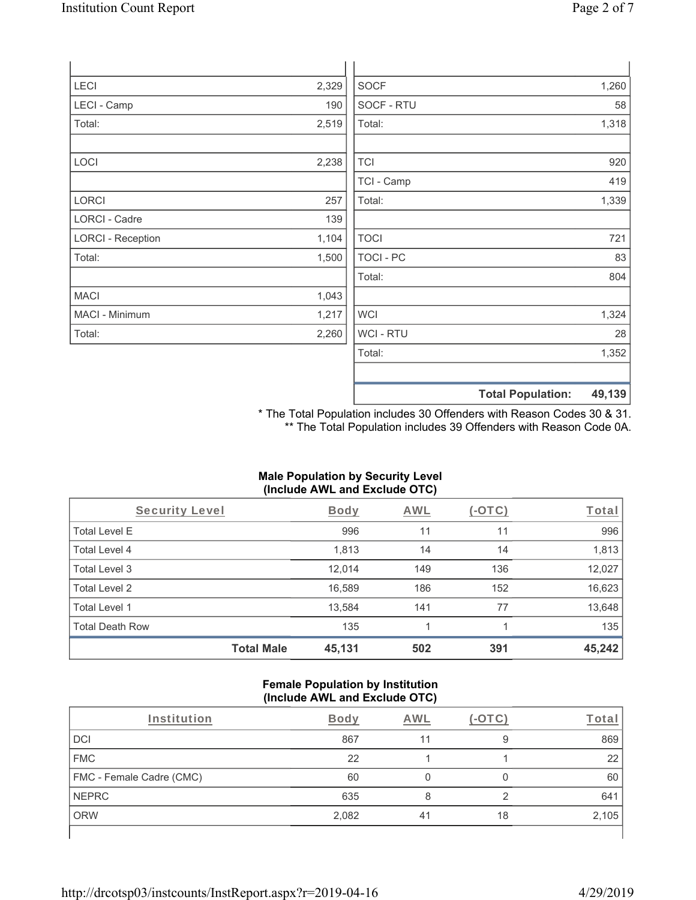| LECI                     | 2,329 | <b>SOCF</b>    | 1,260 |
|--------------------------|-------|----------------|-------|
| LECI - Camp              | 190   | SOCF - RTU     | 58    |
| Total:                   | 2,519 | Total:         | 1,318 |
| LOCI                     | 2,238 | <b>TCI</b>     | 920   |
|                          |       | TCI - Camp     | 419   |
| LORCI                    | 257   | Total:         | 1,339 |
| <b>LORCI - Cadre</b>     | 139   |                |       |
| <b>LORCI - Reception</b> | 1,104 | <b>TOCI</b>    | 721   |
| Total:                   | 1,500 | TOCI - PC      | 83    |
|                          |       | Total:         | 804   |
| <b>MACI</b>              | 1,043 |                |       |
| MACI - Minimum           | 1,217 | <b>WCI</b>     | 1,324 |
| Total:                   | 2,260 | <b>WCI-RTU</b> | 28    |
|                          |       | Total:         | 1,352 |

**Total Population: 49,139** \* The Total Population includes 30 Offenders with Reason Codes 30 & 31.

\*\* The Total Population includes 39 Offenders with Reason Code 0A.

# **Male Population by Security Level (Include AWL and Exclude OTC)**

| Security Level         |                   | <b>Body</b> | <b>AWL</b> | $(-\text{OTC})$ | Total  |
|------------------------|-------------------|-------------|------------|-----------------|--------|
| <b>Total Level E</b>   |                   | 996         | 11         | 11              | 996    |
| Total Level 4          |                   | 1,813       | 14         | 14              | 1,813  |
| Total Level 3          |                   | 12,014      | 149        | 136             | 12,027 |
| Total Level 2          |                   | 16,589      | 186        | 152             | 16,623 |
| Total Level 1          |                   | 13,584      | 141        | 77              | 13,648 |
| <b>Total Death Row</b> |                   | 135         |            |                 | 135    |
|                        | <b>Total Male</b> | 45,131      | 502        | 391             | 45,242 |

#### **Female Population by Institution (Include AWL and Exclude OTC)**

| Institution                     | Body  | <b>AWL</b> |    | Tota  |
|---------------------------------|-------|------------|----|-------|
| <b>DCI</b>                      | 867   |            |    | 869   |
| <b>FMC</b>                      | 22    |            |    | 22    |
| <b>FMC - Female Cadre (CMC)</b> | 60    |            |    | 60    |
| <b>NEPRC</b>                    | 635   | 8          |    | 641   |
| <b>ORW</b>                      | 2,082 | 41         | 18 | 2,105 |
|                                 |       |            |    |       |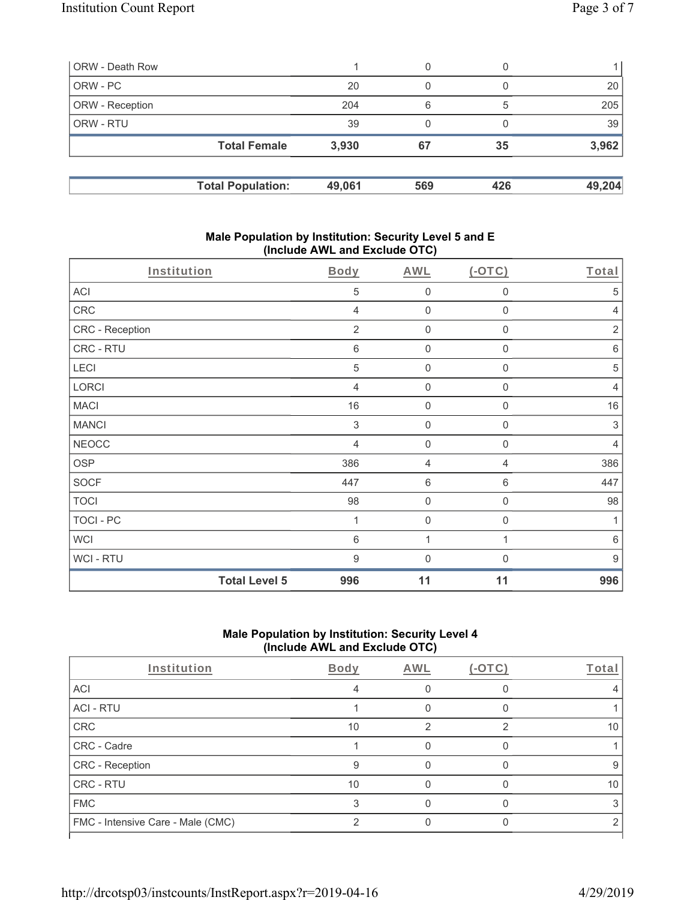| ORW - Death Row        |                          |        | 0   |     |        |
|------------------------|--------------------------|--------|-----|-----|--------|
| ORW - PC               |                          | 20     | 0   |     | 20     |
| <b>ORW</b> - Reception |                          | 204    | 6   | 5   | 205    |
| <b>ORW - RTU</b>       |                          | 39     | 0   |     | 39     |
|                        | <b>Total Female</b>      | 3,930  | 67  | 35  | 3,962  |
|                        |                          |        |     |     |        |
|                        | <b>Total Population:</b> | 49,061 | 569 | 426 | 49,204 |

#### **Male Population by Institution: Security Level 5 and E (Include AWL and Exclude OTC)**

| Institution      |                      | <b>Body</b>    | <b>AWL</b>     | $(-OTC)$         | Total            |
|------------------|----------------------|----------------|----------------|------------------|------------------|
| <b>ACI</b>       |                      | 5              | $\mathsf 0$    | $\boldsymbol{0}$ | 5                |
| CRC              |                      | $\overline{4}$ | $\mathbf 0$    | $\boldsymbol{0}$ | $\overline{4}$   |
| CRC - Reception  |                      | $\overline{2}$ | $\mathbf 0$    | $\boldsymbol{0}$ | $\sqrt{2}$       |
| CRC - RTU        |                      | 6              | $\mathbf 0$    | $\mathbf 0$      | $6\,$            |
| LECI             |                      | 5              | $\mathbf 0$    | $\mathbf 0$      | 5                |
| LORCI            |                      | $\overline{4}$ | $\mathbf 0$    | $\mathbf 0$      | $\overline{4}$   |
| <b>MACI</b>      |                      | 16             | $\mathbf 0$    | 0                | 16               |
| <b>MANCI</b>     |                      | 3              | $\mathbf 0$    | 0                | 3                |
| <b>NEOCC</b>     |                      | 4              | $\mathbf 0$    | $\mathbf 0$      | $\overline{4}$   |
| OSP              |                      | 386            | $\overline{4}$ | 4                | 386              |
| <b>SOCF</b>      |                      | 447            | 6              | 6                | 447              |
| <b>TOCI</b>      |                      | 98             | $\mathbf 0$    | $\boldsymbol{0}$ | 98               |
| <b>TOCI - PC</b> |                      | 1              | $\mathbf 0$    | $\mathbf 0$      | 1                |
| <b>WCI</b>       |                      | 6              | 1              | 1                | $6\,$            |
| WCI - RTU        |                      | 9              | $\mathbf 0$    | 0                | $\boldsymbol{9}$ |
|                  | <b>Total Level 5</b> | 996            | 11             | 11               | 996              |

## **Male Population by Institution: Security Level 4 (Include AWL and Exclude OTC)**

| Institution                       | <b>Body</b> | AWL | (-OTC) | Total |
|-----------------------------------|-------------|-----|--------|-------|
| <b>ACI</b>                        |             |     |        |       |
| <b>ACI - RTU</b>                  |             |     |        |       |
| CRC                               | 10          |     |        | 10    |
| CRC - Cadre                       |             |     |        |       |
| <b>CRC</b> - Reception            | 9           |     |        | 9     |
| <b>CRC - RTU</b>                  | 10          |     |        | 10    |
| <b>FMC</b>                        |             |     |        |       |
| FMC - Intensive Care - Male (CMC) | ∩           |     |        |       |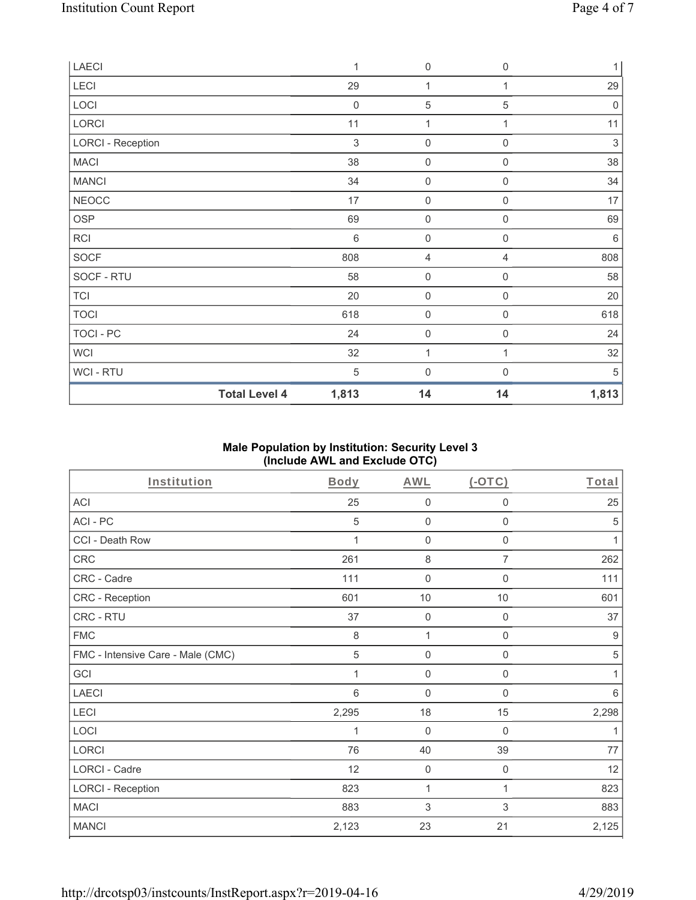| LAECI                    |                      | $\mathbf 1$ | $\mathsf{O}\xspace$ | $\mathbf 0$      | 1                         |
|--------------------------|----------------------|-------------|---------------------|------------------|---------------------------|
| LECI                     |                      | 29          | 1                   |                  | 29                        |
| LOCI                     |                      | $\mathbf 0$ | 5                   | 5                | $\mathbf 0$               |
| LORCI                    |                      | 11          | 1                   | 1                | 11                        |
| <b>LORCI - Reception</b> |                      | 3           | $\boldsymbol{0}$    | $\mathbf 0$      | $\ensuremath{\mathsf{3}}$ |
| <b>MACI</b>              |                      | 38          | $\mathsf{O}\xspace$ | $\mathbf 0$      | 38                        |
| <b>MANCI</b>             |                      | 34          | $\mathsf{O}\xspace$ | $\boldsymbol{0}$ | 34                        |
| <b>NEOCC</b>             |                      | 17          | $\mathsf{O}\xspace$ | 0                | 17                        |
| OSP                      |                      | 69          | 0                   | 0                | 69                        |
| RCI                      |                      | 6           | $\mathbf 0$         | $\mathbf 0$      | 6                         |
| <b>SOCF</b>              |                      | 808         | 4                   | 4                | 808                       |
| SOCF - RTU               |                      | 58          | $\mathbf 0$         | $\mathbf 0$      | 58                        |
| <b>TCI</b>               |                      | 20          | $\mathbf 0$         | 0                | 20                        |
| <b>TOCI</b>              |                      | 618         | $\mathsf{O}\xspace$ | $\boldsymbol{0}$ | 618                       |
| TOCI - PC                |                      | 24          | $\mathbf 0$         | 0                | 24                        |
| <b>WCI</b>               |                      | 32          | 1                   |                  | 32                        |
| WCI - RTU                |                      | $\,$ 5 $\,$ | $\boldsymbol{0}$    | 0                | 5                         |
|                          | <b>Total Level 4</b> | 1,813       | 14                  | 14               | 1,813                     |

## **Male Population by Institution: Security Level 3 (Include AWL and Exclude OTC)**

| Institution                       | Body    | <b>AWL</b>  | (OTC)               | Total            |
|-----------------------------------|---------|-------------|---------------------|------------------|
| <b>ACI</b>                        | 25      | $\mathbf 0$ | $\mathbf 0$         | 25               |
| ACI-PC                            | 5       | $\mathbf 0$ | $\mathbf 0$         | 5                |
| CCI - Death Row                   | 1       | $\mathbf 0$ | $\mathbf 0$         | 1                |
| CRC                               | 261     | 8           | $\overline{7}$      | 262              |
| CRC - Cadre                       | 111     | $\mathbf 0$ | $\boldsymbol{0}$    | 111              |
| CRC - Reception                   | 601     | 10          | 10                  | 601              |
| CRC - RTU                         | 37      | $\mathbf 0$ | $\mathbf 0$         | 37               |
| <b>FMC</b>                        | $\,8\,$ | 1           | $\mathsf{O}\xspace$ | $\boldsymbol{9}$ |
| FMC - Intensive Care - Male (CMC) | 5       | $\mathbf 0$ | $\mathsf{O}\xspace$ | 5                |
| GCI                               | 1       | $\mathbf 0$ | $\mathbf 0$         | 1                |
| <b>LAECI</b>                      | 6       | $\mathbf 0$ | $\boldsymbol{0}$    | $6\,$            |
| LECI                              | 2,295   | 18          | 15                  | 2,298            |
| LOCI                              | 1       | $\mathbf 0$ | 0                   | 1                |
| LORCI                             | 76      | 40          | 39                  | 77               |
| LORCI - Cadre                     | 12      | $\mathbf 0$ | $\mathbf 0$         | 12               |
| <b>LORCI - Reception</b>          | 823     | 1           | 1                   | 823              |
| <b>MACI</b>                       | 883     | 3           | 3                   | 883              |
| <b>MANCI</b>                      | 2,123   | 23          | 21                  | 2,125            |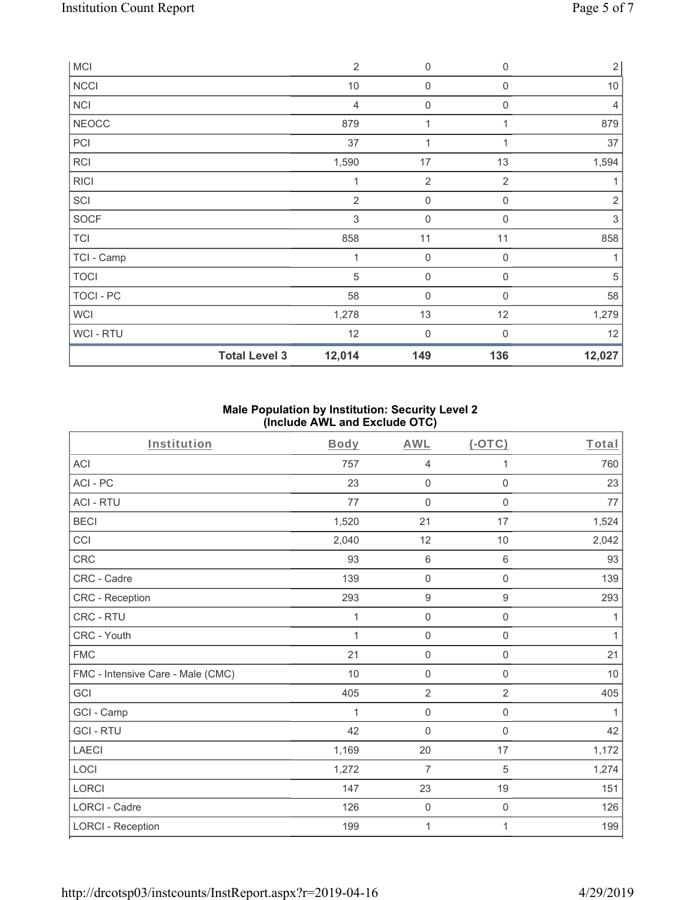| <b>MCI</b>       |                      | $\overline{2}$ | 0                   | $\mathbf 0$      | $\overline{2}$ |
|------------------|----------------------|----------------|---------------------|------------------|----------------|
| <b>NCCI</b>      |                      | $10$           | $\boldsymbol{0}$    | $\boldsymbol{0}$ | $10$           |
| <b>NCI</b>       |                      | $\overline{4}$ | $\boldsymbol{0}$    | $\mathbf 0$      | $\overline{4}$ |
| <b>NEOCC</b>     |                      | 879            | 1                   |                  | 879            |
| PCI              |                      | 37             | 1                   |                  | 37             |
| <b>RCI</b>       |                      | 1,590          | 17                  | 13               | 1,594          |
| <b>RICI</b>      |                      | 1              | $\overline{2}$      | $\overline{2}$   |                |
| SCI              |                      | $\overline{2}$ | $\mathbf 0$         | $\mathbf 0$      | $\overline{2}$ |
| SOCF             |                      | 3              | $\boldsymbol{0}$    | $\Omega$         | $\mathfrak{Z}$ |
| <b>TCI</b>       |                      | 858            | 11                  | 11               | 858            |
| TCI - Camp       |                      | 1              | $\mathsf{O}\xspace$ | $\mathbf 0$      | 1              |
| <b>TOCI</b>      |                      | 5              | $\boldsymbol{0}$    | $\Omega$         | 5              |
| <b>TOCI - PC</b> |                      | 58             | $\mathsf{O}\xspace$ | $\mathbf 0$      | 58             |
| <b>WCI</b>       |                      | 1,278          | 13                  | 12               | 1,279          |
| <b>WCI-RTU</b>   |                      | 12             | 0                   | $\Omega$         | 12             |
|                  | <b>Total Level 3</b> | 12,014         | 149                 | 136              | 12,027         |

### **Male Population by Institution: Security Level 2 (Include AWL and Exclude OTC)**

| Institution                       | <b>Body</b>  | <b>AWL</b>          | $(-OTC)$            | Total |
|-----------------------------------|--------------|---------------------|---------------------|-------|
| <b>ACI</b>                        | 757          | $\overline{4}$      | 1                   | 760   |
| ACI-PC                            | 23           | $\mathbf 0$         | $\mathbf 0$         | 23    |
| <b>ACI - RTU</b>                  | 77           | $\boldsymbol{0}$    | $\boldsymbol{0}$    | 77    |
| <b>BECI</b>                       | 1,520        | 21                  | 17                  | 1,524 |
| CCI                               | 2,040        | 12                  | 10                  | 2,042 |
| CRC                               | 93           | $\,6\,$             | $\,6\,$             | 93    |
| CRC - Cadre                       | 139          | $\mathbf 0$         | $\boldsymbol{0}$    | 139   |
| CRC - Reception                   | 293          | $\boldsymbol{9}$    | $\boldsymbol{9}$    | 293   |
| CRC - RTU                         | 1            | $\mathbf 0$         | $\mathsf{O}\xspace$ | 1     |
| CRC - Youth                       | $\mathbf{1}$ | $\mathbf 0$         | $\mathsf{O}\xspace$ | 1     |
| <b>FMC</b>                        | 21           | $\mathbf 0$         | $\mathsf 0$         | 21    |
| FMC - Intensive Care - Male (CMC) | 10           | $\mathsf{O}\xspace$ | $\mathbf 0$         | 10    |
| GCI                               | 405          | $\overline{2}$      | $\overline{2}$      | 405   |
| GCI - Camp                        | 1            | $\mathbf 0$         | $\mathbf 0$         | 1     |
| <b>GCI-RTU</b>                    | 42           | $\mathbf 0$         | $\mathsf{O}\xspace$ | 42    |
| LAECI                             | 1,169        | $20\,$              | 17                  | 1,172 |
| LOCI                              | 1,272        | $\overline{7}$      | $\sqrt{5}$          | 1,274 |
| LORCI                             | 147          | 23                  | 19                  | 151   |
| LORCI - Cadre                     | 126          | $\mathbf 0$         | $\mathsf{O}\xspace$ | 126   |
| <b>LORCI - Reception</b>          | 199          | 1                   | 1                   | 199   |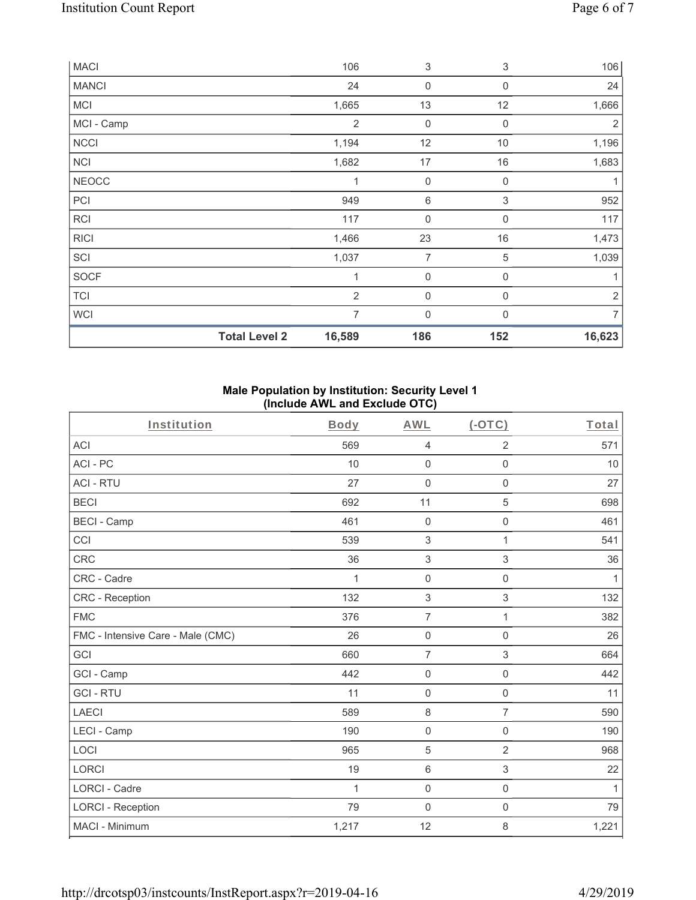| <b>MACI</b>  |                      | 106            | 3                | 3                | 106            |
|--------------|----------------------|----------------|------------------|------------------|----------------|
| <b>MANCI</b> |                      | 24             | $\mathbf 0$      | $\mathbf 0$      | 24             |
| <b>MCI</b>   |                      | 1,665          | 13               | 12               | 1,666          |
| MCI - Camp   |                      | $\overline{2}$ | $\boldsymbol{0}$ | $\mathbf 0$      | 2              |
| <b>NCCI</b>  |                      | 1,194          | 12               | 10               | 1,196          |
| <b>NCI</b>   |                      | 1,682          | 17               | 16               | 1,683          |
| <b>NEOCC</b> |                      | 1              | $\boldsymbol{0}$ | 0                | 1              |
| PCI          |                      | 949            | $\,$ 6 $\,$      | 3                | 952            |
| <b>RCI</b>   |                      | 117            | $\boldsymbol{0}$ | 0                | 117            |
| <b>RICI</b>  |                      | 1,466          | 23               | 16               | 1,473          |
| SCI          |                      | 1,037          | 7                | $\mathbf 5$      | 1,039          |
| SOCF         |                      | $\mathbf{1}$   | $\mathbf 0$      | $\boldsymbol{0}$ | 1              |
| <b>TCI</b>   |                      | $\overline{2}$ | $\mathbf 0$      | 0                | $\sqrt{2}$     |
| <b>WCI</b>   |                      | $\overline{7}$ | $\mathbf 0$      | $\Omega$         | $\overline{7}$ |
|              | <b>Total Level 2</b> | 16,589         | 186              | 152              | 16,623         |

### **Male Population by Institution: Security Level 1 (Include AWL and Exclude OTC)**

| Institution                       | Body         | <b>AWL</b>          | $(-OTC)$            | Total        |
|-----------------------------------|--------------|---------------------|---------------------|--------------|
| <b>ACI</b>                        | 569          | $\overline{4}$      | $\overline{2}$      | 571          |
| ACI-PC                            | 10           | $\mathbf 0$         | $\mathbf 0$         | 10           |
| <b>ACI - RTU</b>                  | 27           | $\mathbf 0$         | $\mathbf 0$         | 27           |
| <b>BECI</b>                       | 692          | 11                  | $\sqrt{5}$          | 698          |
| <b>BECI - Camp</b>                | 461          | $\mathsf{O}\xspace$ | $\mathsf{O}\xspace$ | 461          |
| CCI                               | 539          | 3                   | 1                   | 541          |
| CRC                               | 36           | $\sqrt{3}$          | $\,$ 3 $\,$         | 36           |
| CRC - Cadre                       | 1            | $\mathsf{O}\xspace$ | $\mathsf{O}\xspace$ | 1            |
| <b>CRC</b> - Reception            | 132          | $\sqrt{3}$          | 3                   | 132          |
| <b>FMC</b>                        | 376          | $\overline{7}$      | 1                   | 382          |
| FMC - Intensive Care - Male (CMC) | 26           | $\mathsf{O}\xspace$ | $\mathbf 0$         | 26           |
| GCI                               | 660          | $\overline{7}$      | 3                   | 664          |
| GCI - Camp                        | 442          | $\mathsf{O}\xspace$ | $\mathsf{O}\xspace$ | 442          |
| <b>GCI-RTU</b>                    | 11           | $\mathbf 0$         | $\mathsf{O}\xspace$ | 11           |
| <b>LAECI</b>                      | 589          | $\,8\,$             | $\overline{7}$      | 590          |
| LECI - Camp                       | 190          | $\mathbf 0$         | $\mathbf 0$         | 190          |
| LOCI                              | 965          | 5                   | $\overline{2}$      | 968          |
| <b>LORCI</b>                      | 19           | $\,6\,$             | 3                   | 22           |
| <b>LORCI - Cadre</b>              | $\mathbf{1}$ | $\mathsf{O}\xspace$ | $\mathsf{O}\xspace$ | $\mathbf{1}$ |
| <b>LORCI - Reception</b>          | 79           | $\mathsf{O}\xspace$ | $\mathbf 0$         | 79           |
| MACI - Minimum                    | 1,217        | 12                  | 8                   | 1,221        |